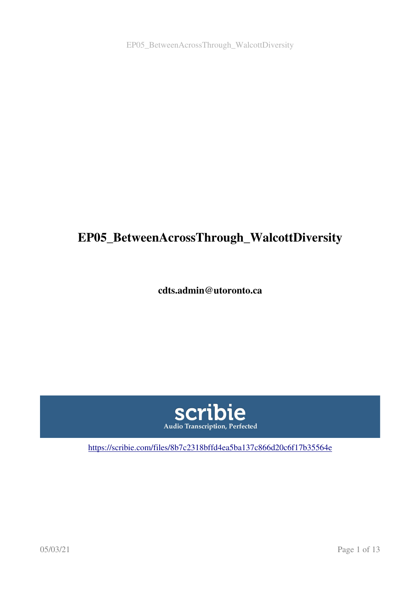EP05\_BetweenAcrossThrough\_WalcottDiversity

# EP05\_BetweenAcrossThrough\_WalcottDiversity

cdts.admin@utoronto.ca



<https://scribie.com/files/8b7c2318bffd4ea5ba137c866d20c6f17b35564e>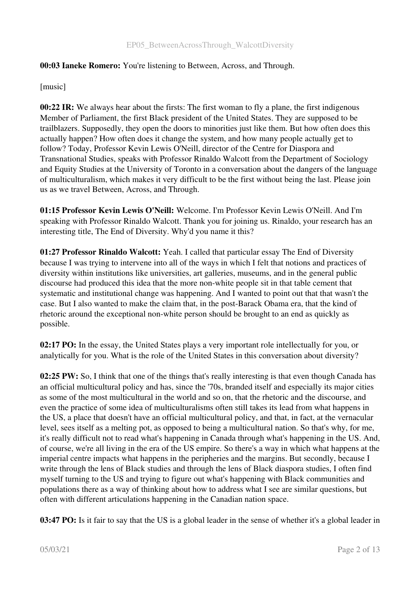# 00:03 Ianeke Romero: You're listening to Between, Across, and Through.

# [music]

00:22 IR: We always hear about the firsts: The first woman to fly a plane, the first indigenous Member of Parliament, the first Black president of the United States. They are supposed to be trailblazers. Supposedly, they open the doors to minorities just like them. But how often does this actually happen? How often does it change the system, and how many people actually get to follow? Today, Professor Kevin Lewis O'Neill, director of the Centre for Diaspora and Transnational Studies, speaks with Professor Rinaldo Walcott from the Department of Sociology and Equity Studies at the University of Toronto in a conversation about the dangers of the language of multiculturalism, which makes it very difficult to be the first without being the last. Please join us as we travel Between, Across, and Through.

01:15 Professor Kevin Lewis O'Neill: Welcome. I'm Professor Kevin Lewis O'Neill. And I'm speaking with Professor Rinaldo Walcott. Thank you for joining us. Rinaldo, your research has an interesting title, The End of Diversity. Why'd you name it this?

01:27 Professor Rinaldo Walcott: Yeah. I called that particular essay The End of Diversity because I was trying to intervene into all of the ways in which I felt that notions and practices of diversity within institutions like universities, art galleries, museums, and in the general public discourse had produced this idea that the more non-white people sit in that table cement that systematic and institutional change was happening. And I wanted to point out that that wasn't the case. But I also wanted to make the claim that, in the post-Barack Obama era, that the kind of rhetoric around the exceptional non-white person should be brought to an end as quickly as possible.

02:17 PO: In the essay, the United States plays a very important role intellectually for you, or analytically for you. What is the role of the United States in this conversation about diversity?

02:25 PW: So, I think that one of the things that's really interesting is that even though Canada has an official multicultural policy and has, since the '70s, branded itself and especially its major cities as some of the most multicultural in the world and so on, that the rhetoric and the discourse, and even the practice of some idea of multiculturalisms often still takes its lead from what happens in the US, a place that doesn't have an official multicultural policy, and that, in fact, at the vernacular level, sees itself as a melting pot, as opposed to being a multicultural nation. So that's why, for me, it's really difficult not to read what's happening in Canada through what's happening in the US. And, of course, we're all living in the era of the US empire. So there's a way in which what happens at the imperial centre impacts what happens in the peripheries and the margins. But secondly, because I write through the lens of Black studies and through the lens of Black diaspora studies, I often find myself turning to the US and trying to figure out what's happening with Black communities and populations there as a way of thinking about how to address what I see are similar questions, but often with different articulations happening in the Canadian nation space.

03:47 PO: Is it fair to say that the US is a global leader in the sense of whether it's a global leader in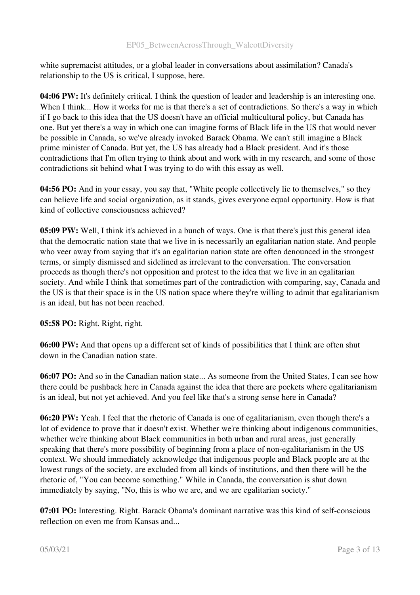white supremacist attitudes, or a global leader in conversations about assimilation? Canada's relationship to the US is critical, I suppose, here.

04:06 PW: It's definitely critical. I think the question of leader and leadership is an interesting one. When I think... How it works for me is that there's a set of contradictions. So there's a way in which if I go back to this idea that the US doesn't have an official multicultural policy, but Canada has one. But yet there's a way in which one can imagine forms of Black life in the US that would never be possible in Canada, so we've already invoked Barack Obama. We can't still imagine a Black prime minister of Canada. But yet, the US has already had a Black president. And it's those contradictions that I'm often trying to think about and work with in my research, and some of those contradictions sit behind what I was trying to do with this essay as well.

04:56 PO: And in your essay, you say that, "White people collectively lie to themselves," so they can believe life and social organization, as it stands, gives everyone equal opportunity. How is that kind of collective consciousness achieved?

05:09 PW: Well, I think it's achieved in a bunch of ways. One is that there's just this general idea that the democratic nation state that we live in is necessarily an egalitarian nation state. And people who veer away from saying that it's an egalitarian nation state are often denounced in the strongest terms, or simply dismissed and sidelined as irrelevant to the conversation. The conversation proceeds as though there's not opposition and protest to the idea that we live in an egalitarian society. And while I think that sometimes part of the contradiction with comparing, say, Canada and the US is that their space is in the US nation space where they're willing to admit that egalitarianism is an ideal, but has not been reached.

05:58 PO: Right. Right, right.

06:00 PW: And that opens up a different set of kinds of possibilities that I think are often shut down in the Canadian nation state.

06:07 PO: And so in the Canadian nation state... As someone from the United States, I can see how there could be pushback here in Canada against the idea that there are pockets where egalitarianism is an ideal, but not yet achieved. And you feel like that's a strong sense here in Canada?

06:20 PW: Yeah. I feel that the rhetoric of Canada is one of egalitarianism, even though there's a lot of evidence to prove that it doesn't exist. Whether we're thinking about indigenous communities, whether we're thinking about Black communities in both urban and rural areas, just generally speaking that there's more possibility of beginning from a place of non-egalitarianism in the US context. We should immediately acknowledge that indigenous people and Black people are at the lowest rungs of the society, are excluded from all kinds of institutions, and then there will be the rhetoric of, "You can become something." While in Canada, the conversation is shut down immediately by saying, "No, this is who we are, and we are egalitarian society."

07:01 PO: Interesting. Right. Barack Obama's dominant narrative was this kind of self-conscious reflection on even me from Kansas and...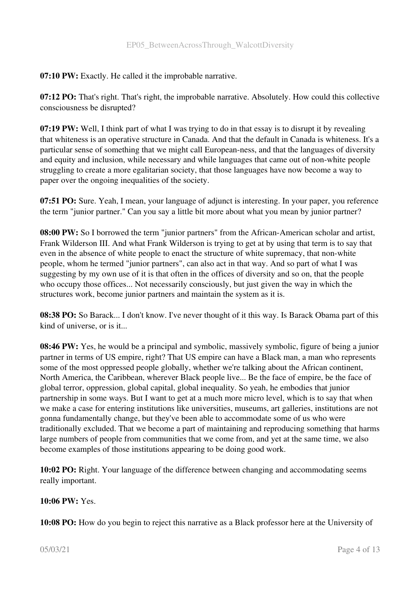07:10 PW: Exactly. He called it the improbable narrative.

07:12 PO: That's right. That's right, the improbable narrative. Absolutely. How could this collective consciousness be disrupted?

07:19 PW: Well, I think part of what I was trying to do in that essay is to disrupt it by revealing that whiteness is an operative structure in Canada. And that the default in Canada is whiteness. It's a particular sense of something that we might call European-ness, and that the languages of diversity and equity and inclusion, while necessary and while languages that came out of non-white people struggling to create a more egalitarian society, that those languages have now become a way to paper over the ongoing inequalities of the society.

07:51 PO: Sure. Yeah, I mean, your language of adjunct is interesting. In your paper, you reference the term "junior partner." Can you say a little bit more about what you mean by junior partner?

08:00 PW: So I borrowed the term "junior partners" from the African-American scholar and artist, Frank Wilderson III. And what Frank Wilderson is trying to get at by using that term is to say that even in the absence of white people to enact the structure of white supremacy, that non-white people, whom he termed "junior partners", can also act in that way. And so part of what I was suggesting by my own use of it is that often in the offices of diversity and so on, that the people who occupy those offices... Not necessarily consciously, but just given the way in which the structures work, become junior partners and maintain the system as it is.

08:38 PO: So Barack... I don't know. I've never thought of it this way. Is Barack Obama part of this kind of universe, or is it...

08:46 PW: Yes, he would be a principal and symbolic, massively symbolic, figure of being a junior partner in terms of US empire, right? That US empire can have a Black man, a man who represents some of the most oppressed people globally, whether we're talking about the African continent, North America, the Caribbean, wherever Black people live... Be the face of empire, be the face of global terror, oppression, global capital, global inequality. So yeah, he embodies that junior partnership in some ways. But I want to get at a much more micro level, which is to say that when we make a case for entering institutions like universities, museums, art galleries, institutions are not gonna fundamentally change, but they've been able to accommodate some of us who were traditionally excluded. That we become a part of maintaining and reproducing something that harms large numbers of people from communities that we come from, and yet at the same time, we also become examples of those institutions appearing to be doing good work.

10:02 PO: Right. Your language of the difference between changing and accommodating seems really important.

10:06 PW: Yes.

10:08 PO: How do you begin to reject this narrative as a Black professor here at the University of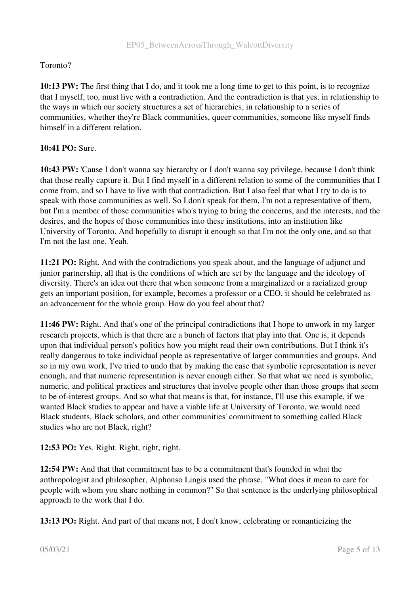# Toronto?

10:13 PW: The first thing that I do, and it took me a long time to get to this point, is to recognize that I myself, too, must live with a contradiction. And the contradiction is that yes, in relationship to the ways in which our society structures a set of hierarchies, in relationship to a series of communities, whether they're Black communities, queer communities, someone like myself finds himself in a different relation.

# 10:41 PO: Sure.

10:43 PW: 'Cause I don't wanna say hierarchy or I don't wanna say privilege, because I don't think that those really capture it. But I find myself in a different relation to some of the communities that I come from, and so I have to live with that contradiction. But I also feel that what I try to do is to speak with those communities as well. So I don't speak for them, I'm not a representative of them, but I'm a member of those communities who's trying to bring the concerns, and the interests, and the desires, and the hopes of those communities into these institutions, into an institution like University of Toronto. And hopefully to disrupt it enough so that I'm not the only one, and so that I'm not the last one. Yeah.

11:21 PO: Right. And with the contradictions you speak about, and the language of adjunct and junior partnership, all that is the conditions of which are set by the language and the ideology of diversity. There's an idea out there that when someone from a marginalized or a racialized group gets an important position, for example, becomes a professor or a CEO, it should be celebrated as an advancement for the whole group. How do you feel about that?

11:46 PW: Right. And that's one of the principal contradictions that I hope to unwork in my larger research projects, which is that there are a bunch of factors that play into that. One is, it depends upon that individual person's politics how you might read their own contributions. But I think it's really dangerous to take individual people as representative of larger communities and groups. And so in my own work, I've tried to undo that by making the case that symbolic representation is never enough, and that numeric representation is never enough either. So that what we need is symbolic, numeric, and political practices and structures that involve people other than those groups that seem to be of-interest groups. And so what that means is that, for instance, I'll use this example, if we wanted Black studies to appear and have a viable life at University of Toronto, we would need Black students, Black scholars, and other communities' commitment to something called Black studies who are not Black, right?

12:53 PO: Yes. Right. Right, right, right.

12:54 PW: And that that commitment has to be a commitment that's founded in what the anthropologist and philosopher, Alphonso Lingis used the phrase, "What does it mean to care for people with whom you share nothing in common?" So that sentence is the underlying philosophical approach to the work that I do.

13:13 PO: Right. And part of that means not, I don't know, celebrating or romanticizing the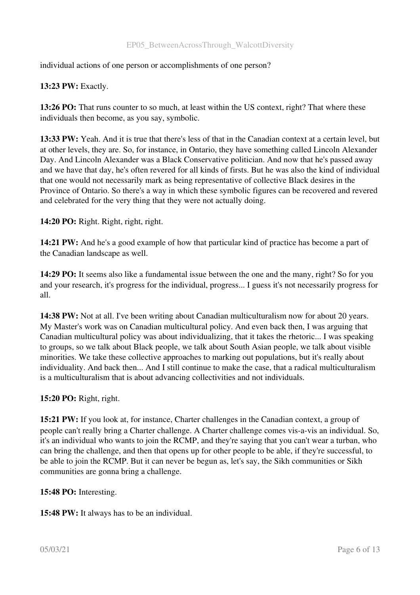#### EP05\_BetweenAcrossThrough\_WalcottDiversity

individual actions of one person or accomplishments of one person?

# 13:23 PW: Exactly.

13:26 PO: That runs counter to so much, at least within the US context, right? That where these individuals then become, as you say, symbolic.

13:33 PW: Yeah. And it is true that there's less of that in the Canadian context at a certain level, but at other levels, they are. So, for instance, in Ontario, they have something called Lincoln Alexander Day. And Lincoln Alexander was a Black Conservative politician. And now that he's passed away and we have that day, he's often revered for all kinds of firsts. But he was also the kind of individual that one would not necessarily mark as being representative of collective Black desires in the Province of Ontario. So there's a way in which these symbolic figures can be recovered and revered and celebrated for the very thing that they were not actually doing.

#### 14:20 PO: Right. Right, right, right.

14:21 PW: And he's a good example of how that particular kind of practice has become a part of the Canadian landscape as well.

14:29 PO: It seems also like a fundamental issue between the one and the many, right? So for you and your research, it's progress for the individual, progress... I guess it's not necessarily progress for all.

14:38 PW: Not at all. I've been writing about Canadian multiculturalism now for about 20 years. My Master's work was on Canadian multicultural policy. And even back then, I was arguing that Canadian multicultural policy was about individualizing, that it takes the rhetoric... I was speaking to groups, so we talk about Black people, we talk about South Asian people, we talk about visible minorities. We take these collective approaches to marking out populations, but it's really about individuality. And back then... And I still continue to make the case, that a radical multiculturalism is a multiculturalism that is about advancing collectivities and not individuals.

#### 15:20 PO: Right, right.

15:21 PW: If you look at, for instance, Charter challenges in the Canadian context, a group of people can't really bring a Charter challenge. A Charter challenge comes vis-a-vis an individual. So, it's an individual who wants to join the RCMP, and they're saying that you can't wear a turban, who can bring the challenge, and then that opens up for other people to be able, if they're successful, to be able to join the RCMP. But it can never be begun as, let's say, the Sikh communities or Sikh communities are gonna bring a challenge.

#### 15:48 PO: Interesting.

15:48 PW: It always has to be an individual.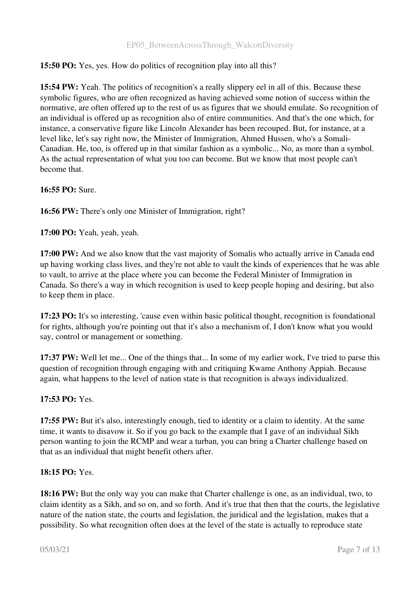15:50 PO: Yes, yes. How do politics of recognition play into all this?

15:54 PW: Yeah. The politics of recognition's a really slippery eel in all of this. Because these symbolic figures, who are often recognized as having achieved some notion of success within the normative, are often offered up to the rest of us as figures that we should emulate. So recognition of an individual is offered up as recognition also of entire communities. And that's the one which, for instance, a conservative figure like Lincoln Alexander has been recouped. But, for instance, at a level like, let's say right now, the Minister of Immigration, Ahmed Hussen, who's a Somali-Canadian. He, too, is offered up in that similar fashion as a symbolic... No, as more than a symbol. As the actual representation of what you too can become. But we know that most people can't become that.

# 16:55 PO: Sure.

16:56 PW: There's only one Minister of Immigration, right?

17:00 PO: Yeah, yeah, yeah.

17:00 PW: And we also know that the vast majority of Somalis who actually arrive in Canada end up having working class lives, and they're not able to vault the kinds of experiences that he was able to vault, to arrive at the place where you can become the Federal Minister of Immigration in Canada. So there's a way in which recognition is used to keep people hoping and desiring, but also to keep them in place.

17:23 PO: It's so interesting, 'cause even within basic political thought, recognition is foundational for rights, although you're pointing out that it's also a mechanism of, I don't know what you would say, control or management or something.

17:37 PW: Well let me... One of the things that... In some of my earlier work, I've tried to parse this question of recognition through engaging with and critiquing Kwame Anthony Appiah. Because again, what happens to the level of nation state is that recognition is always individualized.

#### 17:53 PO: Yes.

17:55 PW: But it's also, interestingly enough, tied to identity or a claim to identity. At the same time, it wants to disavow it. So if you go back to the example that I gave of an individual Sikh person wanting to join the RCMP and wear a turban, you can bring a Charter challenge based on that as an individual that might benefit others after.

#### 18:15 PO: Yes.

18:16 PW: But the only way you can make that Charter challenge is one, as an individual, two, to claim identity as a Sikh, and so on, and so forth. And it's true that then that the courts, the legislative nature of the nation state, the courts and legislation, the juridical and the legislation, makes that a possibility. So what recognition often does at the level of the state is actually to reproduce state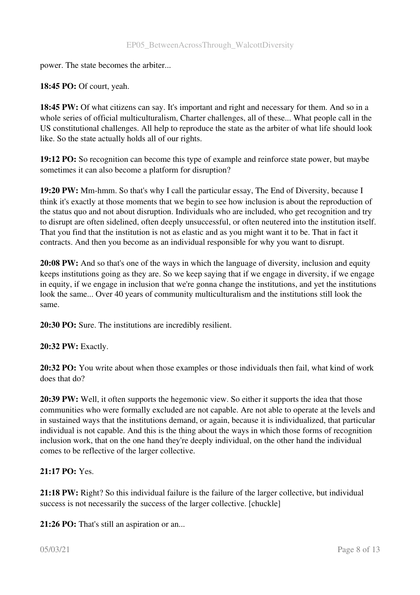power. The state becomes the arbiter...

# 18:45 PO: Of court, yeah.

18:45 PW: Of what citizens can say. It's important and right and necessary for them. And so in a whole series of official multiculturalism, Charter challenges, all of these... What people call in the US constitutional challenges. All help to reproduce the state as the arbiter of what life should look like. So the state actually holds all of our rights.

19:12 PO: So recognition can become this type of example and reinforce state power, but maybe sometimes it can also become a platform for disruption?

19:20 PW: Mm-hmm. So that's why I call the particular essay, The End of Diversity, because I think it's exactly at those moments that we begin to see how inclusion is about the reproduction of the status quo and not about disruption. Individuals who are included, who get recognition and try to disrupt are often sidelined, often deeply unsuccessful, or often neutered into the institution itself. That you find that the institution is not as elastic and as you might want it to be. That in fact it contracts. And then you become as an individual responsible for why you want to disrupt.

20:08 PW: And so that's one of the ways in which the language of diversity, inclusion and equity keeps institutions going as they are. So we keep saying that if we engage in diversity, if we engage in equity, if we engage in inclusion that we're gonna change the institutions, and yet the institutions look the same... Over 40 years of community multiculturalism and the institutions still look the same.

20:30 PO: Sure. The institutions are incredibly resilient.

# 20:32 PW: Exactly.

20:32 PO: You write about when those examples or those individuals then fail, what kind of work does that do?

20:39 PW: Well, it often supports the hegemonic view. So either it supports the idea that those communities who were formally excluded are not capable. Are not able to operate at the levels and in sustained ways that the institutions demand, or again, because it is individualized, that particular individual is not capable. And this is the thing about the ways in which those forms of recognition inclusion work, that on the one hand they're deeply individual, on the other hand the individual comes to be reflective of the larger collective.

# 21:17 PO: Yes.

21:18 PW: Right? So this individual failure is the failure of the larger collective, but individual success is not necessarily the success of the larger collective. [chuckle]

21:26 PO: That's still an aspiration or an...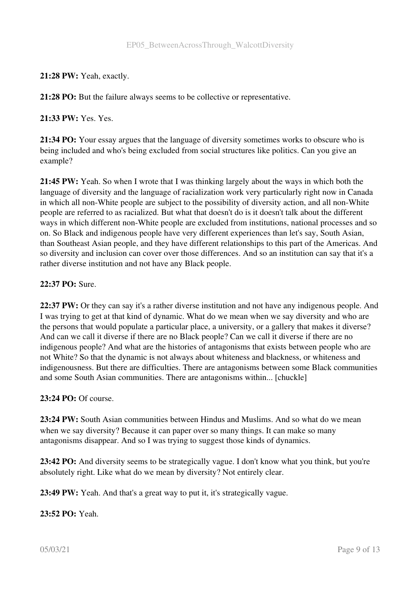21:28 PW: Yeah, exactly.

21:28 PO: But the failure always seems to be collective or representative.

21:33 PW: Yes. Yes.

21:34 PO: Your essay argues that the language of diversity sometimes works to obscure who is being included and who's being excluded from social structures like politics. Can you give an example?

21:45 PW: Yeah. So when I wrote that I was thinking largely about the ways in which both the language of diversity and the language of racialization work very particularly right now in Canada in which all non-White people are subject to the possibility of diversity action, and all non-White people are referred to as racialized. But what that doesn't do is it doesn't talk about the different ways in which different non-White people are excluded from institutions, national processes and so on. So Black and indigenous people have very different experiences than let's say, South Asian, than Southeast Asian people, and they have different relationships to this part of the Americas. And so diversity and inclusion can cover over those differences. And so an institution can say that it's a rather diverse institution and not have any Black people.

# 22:37 PO: Sure.

22:37 PW: Or they can say it's a rather diverse institution and not have any indigenous people. And I was trying to get at that kind of dynamic. What do we mean when we say diversity and who are the persons that would populate a particular place, a university, or a gallery that makes it diverse? And can we call it diverse if there are no Black people? Can we call it diverse if there are no indigenous people? And what are the histories of antagonisms that exists between people who are not White? So that the dynamic is not always about whiteness and blackness, or whiteness and indigenousness. But there are difficulties. There are antagonisms between some Black communities and some South Asian communities. There are antagonisms within... [chuckle]

#### 23:24 PO: Of course.

23:24 PW: South Asian communities between Hindus and Muslims. And so what do we mean when we say diversity? Because it can paper over so many things. It can make so many antagonisms disappear. And so I was trying to suggest those kinds of dynamics.

23:42 PO: And diversity seems to be strategically vague. I don't know what you think, but you're absolutely right. Like what do we mean by diversity? Not entirely clear.

23:49 PW: Yeah. And that's a great way to put it, it's strategically vague.

23:52 PO: Yeah.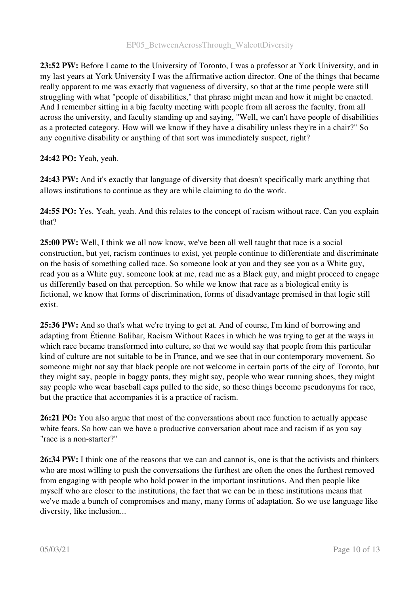23:52 PW: Before I came to the University of Toronto, I was a professor at York University, and in my last years at York University I was the affirmative action director. One of the things that became really apparent to me was exactly that vagueness of diversity, so that at the time people were still struggling with what "people of disabilities," that phrase might mean and how it might be enacted. And I remember sitting in a big faculty meeting with people from all across the faculty, from all across the university, and faculty standing up and saying, "Well, we can't have people of disabilities as a protected category. How will we know if they have a disability unless they're in a chair?" So any cognitive disability or anything of that sort was immediately suspect, right?

# 24:42 PO: Yeah, yeah.

24:43 PW: And it's exactly that language of diversity that doesn't specifically mark anything that allows institutions to continue as they are while claiming to do the work.

24:55 PO: Yes. Yeah, yeah. And this relates to the concept of racism without race. Can you explain that?

25:00 PW: Well, I think we all now know, we've been all well taught that race is a social construction, but yet, racism continues to exist, yet people continue to differentiate and discriminate on the basis of something called race. So someone look at you and they see you as a White guy, read you as a White guy, someone look at me, read me as a Black guy, and might proceed to engage us differently based on that perception. So while we know that race as a biological entity is fictional, we know that forms of discrimination, forms of disadvantage premised in that logic still exist.

25:36 PW: And so that's what we're trying to get at. And of course, I'm kind of borrowing and adapting from Étienne Balibar, Racism Without Races in which he was trying to get at the ways in which race became transformed into culture, so that we would say that people from this particular kind of culture are not suitable to be in France, and we see that in our contemporary movement. So someone might not say that black people are not welcome in certain parts of the city of Toronto, but they might say, people in baggy pants, they might say, people who wear running shoes, they might say people who wear baseball caps pulled to the side, so these things become pseudonyms for race, but the practice that accompanies it is a practice of racism.

26:21 PO: You also argue that most of the conversations about race function to actually appease white fears. So how can we have a productive conversation about race and racism if as you say "race is a non-starter?"

26:34 PW: I think one of the reasons that we can and cannot is, one is that the activists and thinkers who are most willing to push the conversations the furthest are often the ones the furthest removed from engaging with people who hold power in the important institutions. And then people like myself who are closer to the institutions, the fact that we can be in these institutions means that we've made a bunch of compromises and many, many forms of adaptation. So we use language like diversity, like inclusion...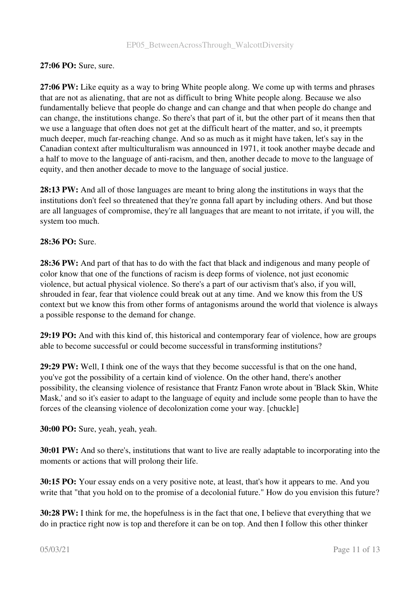# 27:06 PO: Sure, sure.

27:06 PW: Like equity as a way to bring White people along. We come up with terms and phrases that are not as alienating, that are not as difficult to bring White people along. Because we also fundamentally believe that people do change and can change and that when people do change and can change, the institutions change. So there's that part of it, but the other part of it means then that we use a language that often does not get at the difficult heart of the matter, and so, it preempts much deeper, much far-reaching change. And so as much as it might have taken, let's say in the Canadian context after multiculturalism was announced in 1971, it took another maybe decade and a half to move to the language of anti-racism, and then, another decade to move to the language of equity, and then another decade to move to the language of social justice.

28:13 PW: And all of those languages are meant to bring along the institutions in ways that the institutions don't feel so threatened that they're gonna fall apart by including others. And but those are all languages of compromise, they're all languages that are meant to not irritate, if you will, the system too much.

# 28:36 PO: Sure.

28:36 PW: And part of that has to do with the fact that black and indigenous and many people of color know that one of the functions of racism is deep forms of violence, not just economic violence, but actual physical violence. So there's a part of our activism that's also, if you will, shrouded in fear, fear that violence could break out at any time. And we know this from the US context but we know this from other forms of antagonisms around the world that violence is always a possible response to the demand for change.

29:19 PO: And with this kind of, this historical and contemporary fear of violence, how are groups able to become successful or could become successful in transforming institutions?

29:29 PW: Well, I think one of the ways that they become successful is that on the one hand, you've got the possibility of a certain kind of violence. On the other hand, there's another possibility, the cleansing violence of resistance that Frantz Fanon wrote about in 'Black Skin, White Mask,' and so it's easier to adapt to the language of equity and include some people than to have the forces of the cleansing violence of decolonization come your way. [chuckle]

30:00 PO: Sure, yeah, yeah, yeah.

30:01 PW: And so there's, institutions that want to live are really adaptable to incorporating into the moments or actions that will prolong their life.

30:15 PO: Your essay ends on a very positive note, at least, that's how it appears to me. And you write that "that you hold on to the promise of a decolonial future." How do you envision this future?

30:28 PW: I think for me, the hopefulness is in the fact that one, I believe that everything that we do in practice right now is top and therefore it can be on top. And then I follow this other thinker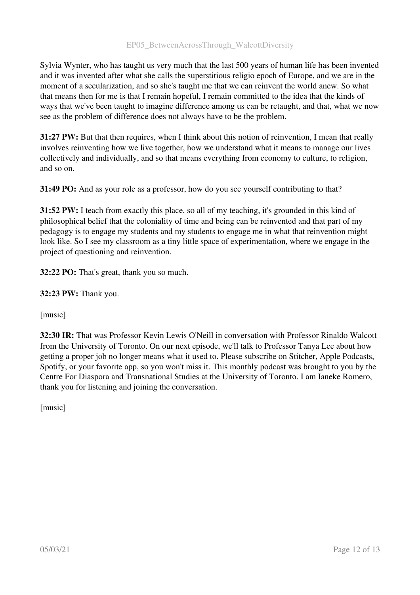Sylvia Wynter, who has taught us very much that the last 500 years of human life has been invented and it was invented after what she calls the superstitious religio epoch of Europe, and we are in the moment of a secularization, and so she's taught me that we can reinvent the world anew. So what that means then for me is that I remain hopeful, I remain committed to the idea that the kinds of ways that we've been taught to imagine difference among us can be retaught, and that, what we now see as the problem of difference does not always have to be the problem.

31:27 PW: But that then requires, when I think about this notion of reinvention, I mean that really involves reinventing how we live together, how we understand what it means to manage our lives collectively and individually, and so that means everything from economy to culture, to religion, and so on.

31:49 PO: And as your role as a professor, how do you see yourself contributing to that?

31:52 PW: I teach from exactly this place, so all of my teaching, it's grounded in this kind of philosophical belief that the coloniality of time and being can be reinvented and that part of my pedagogy is to engage my students and my students to engage me in what that reinvention might look like. So I see my classroom as a tiny little space of experimentation, where we engage in the project of questioning and reinvention.

32:22 PO: That's great, thank you so much.

32:23 PW: Thank you.

[music]

32:30 IR: That was Professor Kevin Lewis O'Neill in conversation with Professor Rinaldo Walcott from the University of Toronto. On our next episode, we'll talk to Professor Tanya Lee about how getting a proper job no longer means what it used to. Please subscribe on Stitcher, Apple Podcasts, Spotify, or your favorite app, so you won't miss it. This monthly podcast was brought to you by the Centre For Diaspora and Transnational Studies at the University of Toronto. I am Ianeke Romero, thank you for listening and joining the conversation.

[music]